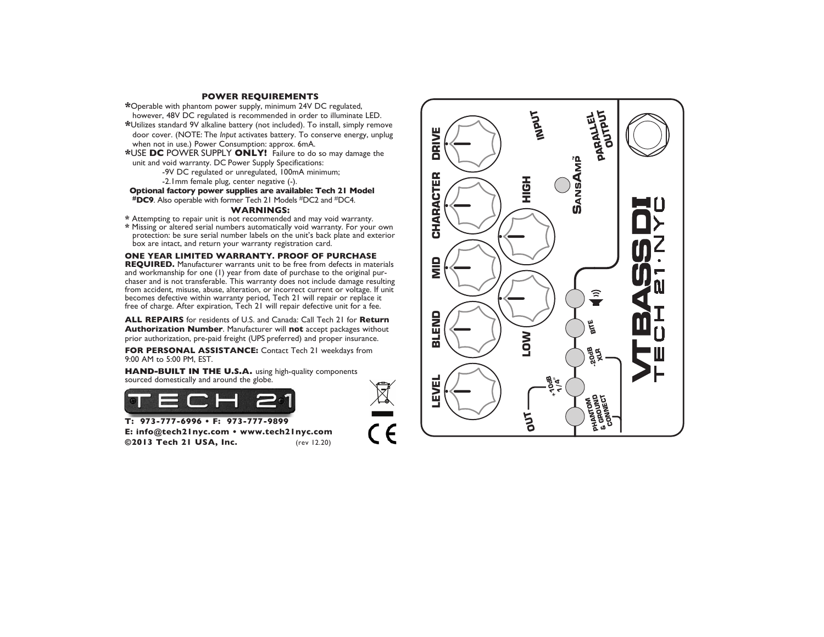#### **POWER REQUIREMENTS**

\* Operable with phantom power supply, minimum 24V DC regulated,

- however, 48V DC regulated is recommended in order to illuminate LED. \*Utilizes standard 9V alkaline battery (not included). To install, simply remove door cover. (NOTE: The *Input* activates battery. To conserve energy, unplug when not in use.) Power Consumption: approx. 6mA.
- \*USE DC POWER SUPPLY ONLY! Failure to do so may damage the unit and void warranty. DC Power Supply Specifications:

-9V DC regulated or unregulated, 100mA minimum;

-2. Imm female plug, center negative (-).

Optional factory power supplies are available: Tech 21 Model **#DC9.** Also operable with former Tech 21 Models #DC2 and #DC4.

#### **WARNINGS:**

- \* Attempting to repair unit is not recommended and may void warranty.
- \* Missing or altered serial numbers automatically void warranty. For your own protection: be sure serial number labels on the unit's back plate and exterior box are intact, and return your warranty registration card.

ONE YEAR LIMITED WARRANTY. PROOF OF PURCHASE REQUIRED. Manufacturer warrants unit to be free from defects in materials and workmanship for one (1) year from date of purchase to the original purchaser and is not transferable. This warranty does not include damage resulting from accident, misuse, abuse, alteration, or incorrect current or voltage. If unit becomes defective within warranty period, Tech 21 will repair or replace it free of charge. After expiration, Tech 21 will repair defective unit for a fee.

ALL REPAIRS for residents of U.S. and Canada: Call Tech 21 for Return Authorization Number. Manufacturer will not accept packages without prior authorization, pre-paid freight (UPS preferred) and proper insurance.

FOR PERSONAL ASSISTANCE: Contact Tech 21 weekdays from 9:00 AM to 5:00 PM, EST.

HAND-BUILT IN THE U.S.A. using high-quality components sourced domestically and around the globe.



T: 973-777-6996 • F: 973-777-9899 E: info@tech2lnyc.com . www.tech2lnyc.com ©2013 Tech 21 USA, Inc. (rev 12.20)

**NI PUT PARALLEL OUTPUT DRIVE LEVEL BLEND MID CHARACTER DRIVE SANSAMP** CHARACTER **HIGH**  $\frac{\mathsf{d}}{\mathsf{d}}$ **(六)** BLENID **2- 0dB XLR BITE LOW EVEL 10dB 1/4**" **+ PHANTOM & GROUND CONNEC T OUT**

 $\zeta \in$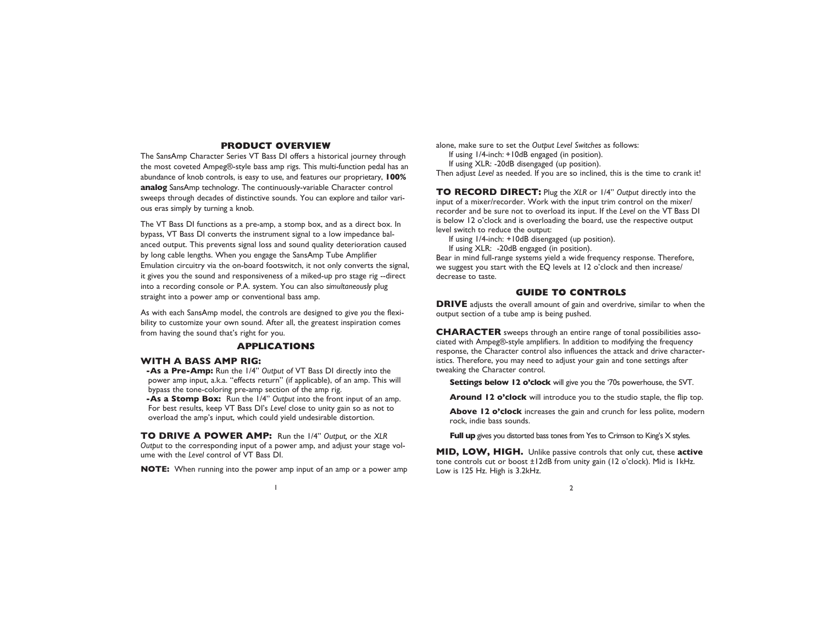## **PRODUCT OVERVIEW**

The SansAmp Character Series VT Bass DI offers a historical journey through the most coveted Ampeg®-style bass amp rigs. This multi-function pedal has an abundance of knob controls, is easy to use, and features our proprietary, **100% analog** SansAmp technology. The continuously-variable Character control sweeps through decades of distinctive sounds. You can explore and tailor various eras simply by turning a knob.

The VT Bass DI functions as a pre-amp, a stomp box, and as a direct box. In bypass, VT Bass DI converts the instrument signal to a low impedance balanced output. This prevents signal loss and sound quality deterioration caused by long cable lengths. When you engage the SansAmp Tube Amplifier Emulation circuitry via the on-board footswitch, it not only converts the signal, it gives you the sound and responsiveness of a miked-up pro stage rig --direct into a recording console or P.A. system. You can also *simultaneously* plug straight into a power amp or conventional bass amp.

As with each SansAmp model, the controls are designed to give *you* the flexibility to customize your own sound. After all, the greatest inspiration comes from having the sound that's right for you.

#### **APPLICATIONS**

#### **WITH A BASS AMP RIG:**

**-As a Pre-Amp:** Run the 1/4" *Output* of VT Bass DI directly into the power amp input, a.k.a. "effects return" (if applicable), of an amp. This will bypass the tone-coloring pre-amp section of the amp rig. **-As a Stomp Box:** Run the 1/4" *Output* into the front input of an amp.

For best results, keep VT Bass DI's *Level* close to unity gain so as not to overload the amp's input, which could yield undesirable distortion.

**TO DRIVE A POWER AMP:** Run the 1/4" *Output,* or the *XLR Output* to the corresponding input of a power amp, and adjust your stage volume with the *Level* control of VT Bass DI.

**NOTE:** When running into the power amp input of an amp or a power amp

alone, make sure to set the *Output Level Switches* as follows: If using 1/4-inch: +10dB engaged (in position). If using XLR: -20dB disengaged (up position).

Then adjust *Level* as needed. If you are so inclined, this is the time to crank it!

**TO RECORD DIRECT:** Plug the *XLR* or 1/4" *Output* directly into the input of a mixer/recorder. Work with the input trim control on the mixer/ recorder and be sure not to overload its input. If the *Level* on the VT Bass DI is below 12 o'clock and is overloading the board, use the respective output level switch to reduce the output:

If using 1/4-inch: +10dB disengaged (up position).

If using XLR: -20dB engaged (in position).

Bear in mind full-range systems yield a wide frequency response. Therefore, we suggest you start with the EQ levels at 12 o'clock and then increase/ decrease to taste.

## **GUIDE TO CONTROLS**

**DRIVE** adjusts the overall amount of gain and overdrive, similar to when the output section of a tube amp is being pushed.

**CHARACTER** sweeps through an entire range of tonal possibilities associated with Ampeg®-style amplifiers. In addition to modifying the frequency response, the Character control also influences the attack and drive characteristics. Therefore, you may need to adjust your gain and tone settings after tweaking the Character control.

**Settings below 12 o'clock** will give you the '70s powerhouse, the SVT.

**Around 12 o'clock** will introduce you to the studio staple, the flip top.

**Above 12 o'clock** increases the gain and crunch for less polite, modern rock, indie bass sounds.

**Full up** gives you distorted bass tones from Yes to Crimson to King's X styles.

**MID, LOW, HIGH.** Unlike passive controls that only cut, these **active** tone controls cut or boost ±12dB from unity gain (12 o'clock). Mid is 1kHz. Low is 125 Hz. High is 3.2kHz.

 $\frac{1}{2}$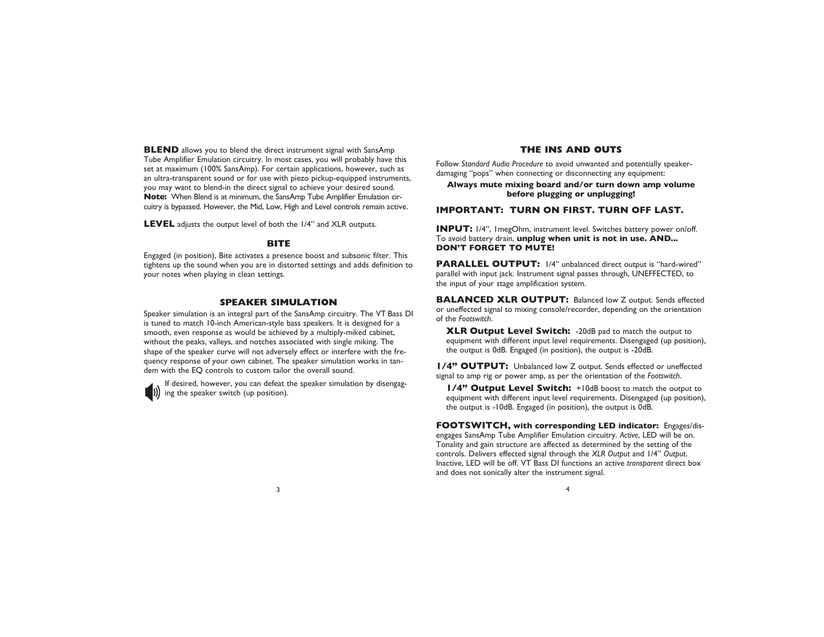**BLEND** allows you to blend the direct instrument signal with SansAmp Tube Amplifier Emulation circuitry. In most cases, you will probably have this set at maximum (100% SansAmp). For certain applications, however, such as an ultra-transparent sound or for use with piezo pickup-equipped instruments, you may want to blend-in the direct signal to achieve your desired sound. **Note:** When Blend is at minimum, the SansAmp Tube Amplifier Emulation circuitry is bypassed. However, the Mid, Low, High and Level controls remain active.

**LEVEL** adjusts the output level of both the 1/4" and XLR outputs.

#### **BITE**

Engaged (in position), Bite activates a presence boost and subsonic filter. This tightens up the sound when you are in distorted settings and adds definition to your notes when playing in clean settings.

#### **SPEAKER SIMULATION**

Speaker simulation is an integral part of the SansAmp circuitry. The VT Bass DI is tuned to match 10-inch American-style bass speakers. It is designed for a smooth, even response as would be achieved by a multiply-miked cabinet, without the peaks, valleys, and notches associated with single miking. The shape of the speaker curve will not adversely effect or interfere with the frequency response of your own cabinet. The speaker simulation works in tandem with the EQ controls to custom tailor the overall sound.

If desired, however, you can defeat the speaker simulation by disengaging the speaker switch (up position).

#### **THE INS AND OUTS**

Follow *Standard Audio Procedure* to avoid unwanted and potentially speakerdamaging "pops" when connecting or disconnecting any equipment:

#### **Always mute mixing board and/or turn down amp volume before plugging or unplugging!**

#### **IMPORTANT: TURN ON FIRST. TURN OFF LAST.**

**INPUT:** 1/4", 1megOhm, instrument level. Switches battery power on/off. To avoid battery drain, **unplug when unit is not in use. AND... DON'T FORGET TO MUTE!**

**PARALLEL OUTPUT:** 1/4" unbalanced direct output is "hard-wired" parallel with input jack. Instrument signal passes through, UNEFFECTED, to the input of your stage amplification system.

**BALANCED XLR OUTPUT:** Balanced low Z output. Sends effected or uneffected signal to mixing console/recorder, depending on the orientation of the *Footswitch*.

**XLR Output Level Switch:** -20dB pad to match the output to equipment with different input level requirements. Disengaged (up position), the output is 0dB. Engaged (in position), the output is -20dB.

**1/4" OUTPUT:** Unbalanced low Z output. Sends effected or uneffected signal to amp rig or power amp, as per the orientation of the *Footswitch*.

**1/4" Output Level Switch:** +10dB boost to match the output to equipment with different input level requirements. Disengaged (up position), the output is -10dB. Engaged (in position), the output is 0dB.

**FOOTSWITCH, with corresponding LED indicator:** Engages/disengages SansAmp Tube Amplifier Emulation circuitry. *Active*, LED will be on. Tonality and gain structure are affected as determined by the setting of the controls. Delivers effected signal through the *XLR Output* and 1/4" *Output*. Inactive, LED will be off. VT Bass DI functions an active *transparent* direct box and does not sonically alter the instrument signal.

 $3 \times 4$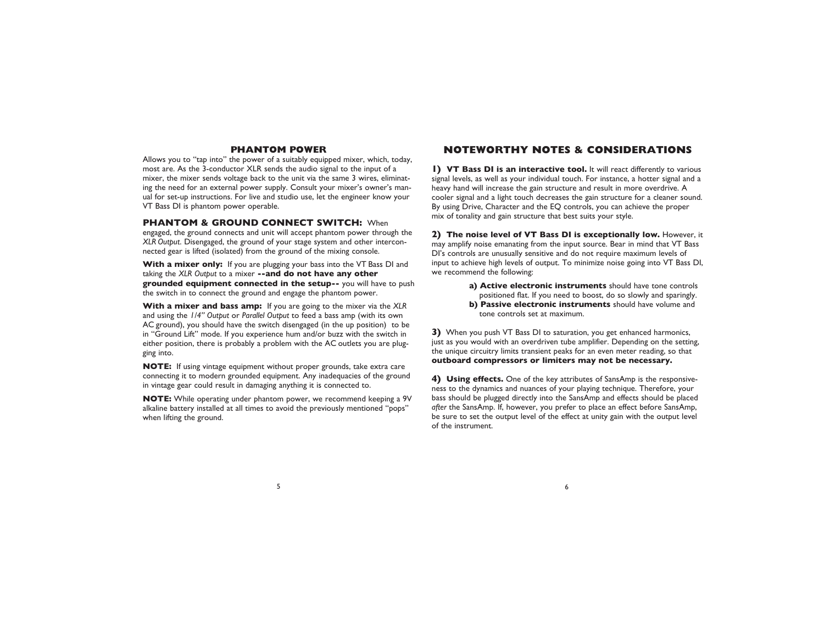### **PHANTOM POWER**

Allows you to "tap into" the power of a suitably equipped mixer, which, today, most are. As the 3-conductor XLR sends the audio signal to the input of a mixer, the mixer sends voltage back to the unit via the same 3 wires, eliminating the need for an external power supply. Consult your mixer's owner's manual for set-up instructions. For live and studio use, let the engineer know your VT Bass DI is phantom power operable.

**PHANTOM & GROUND CONNECT SWITCH:** When

engaged, the ground connects and unit will accept phantom power through the *XLR Output*. Disengaged, the ground of your stage system and other interconnected gear is lifted (isolated) from the ground of the mixing console.

**With a mixer only:** If you are plugging your bass into the VT Bass DI and taking the *XLR Output* to a mixer **--and do not have any other grounded equipment connected in the setup--** you will have to push the switch in to connect the ground and engage the phantom power.

**With a mixer and bass amp:** If you are going to the mixer via the *XLR* and using the *1/4" Output* or *Parallel Output* to feed a bass amp (with its own AC ground), you should have the switch disengaged (in the up position) to be in "Ground Lift" mode. If you experience hum and/or buzz with the switch in either position, there is probably a problem with the AC outlets you are plugging into.

**NOTE:** If using vintage equipment without proper grounds, take extra care connecting it to modern grounded equipment. Any inadequacies of the ground in vintage gear could result in damaging anything it is connected to.

**NOTE:** While operating under phantom power, we recommend keeping a 9V alkaline battery installed at all times to avoid the previously mentioned "pops" when lifting the ground.

# **NOTEWORTHY NOTES & CONSIDERATIONS**

**1) VT Bass DI is an interactive tool.** It will react differently to various signal levels, as well as your individual touch. For instance, a hotter signal and a heavy hand will increase the gain structure and result in more overdrive. A cooler signal and a light touch decreases the gain structure for a cleaner sound. By using Drive, Character and the EQ controls, you can achieve the proper mix of tonality and gain structure that best suits your style.

**2) The noise level of VT Bass DI is exceptionally low.** However, it may amplify noise emanating from the input source. Bear in mind that VT Bass DI's controls are unusually sensitive and do not require maximum levels of input to achieve high levels of output. To minimize noise going into VT Bass DI, we recommend the following:

> **a) Active electronic instruments** should have tone controls positioned flat. If you need to boost, do so slowly and sparingly. **b) Passive electronic instruments** should have volume and tone controls set at maximum.

**3)** When you push VT Bass DI to saturation, you get enhanced harmonics, just as you would with an overdriven tube amplifier. Depending on the setting, the unique circuitry limits transient peaks for an even meter reading, so that **outboard compressors or limiters may not be necessary.**

**4) Using effects.** One of the key attributes of SansAmp is the responsiveness to the dynamics and nuances of your playing technique. Therefore, your bass should be plugged directly into the SansAmp and effects should be placed *after* the SansAmp. If, however, you prefer to place an effect before SansAmp, be sure to set the output level of the effect at unity gain with the output level of the instrument.

 $5<sub>6</sub>$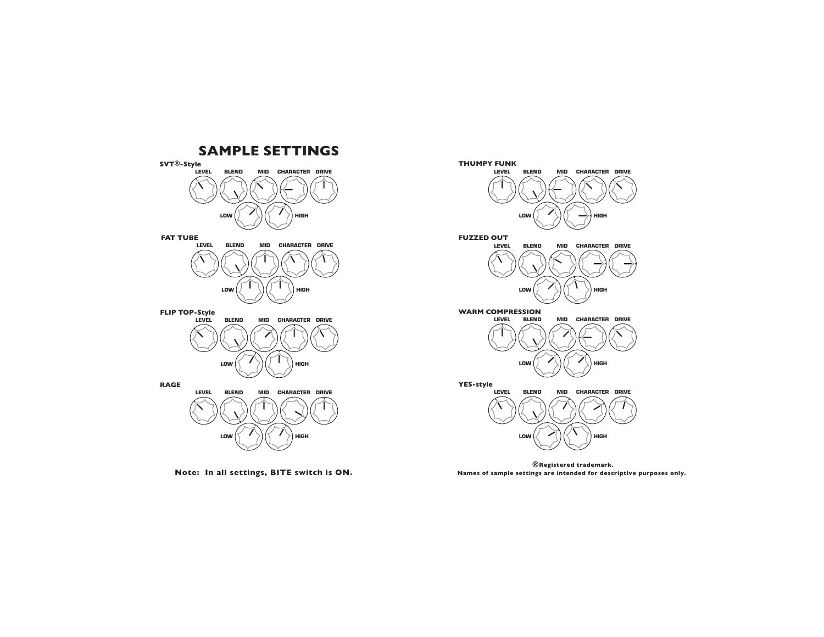



Note: In all settings, BITE switch is ON.<br>Names of sample settings are intended for descriptive purposes only.